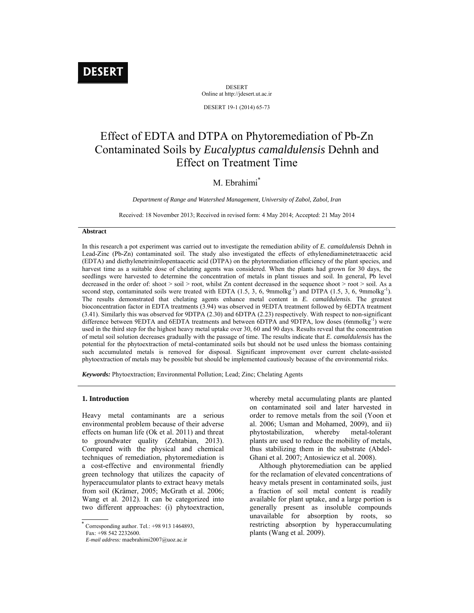# **DESERT**

DESERT Online at http://jdesert.ut.ac.ir

DESERT 19-1 (2014) 65-73

# Effect of EDTA and DTPA on Phytoremediation of Pb-Zn Contaminated Soils by *Eucalyptus camaldulensis* Dehnh and Effect on Treatment Time

# M. Ebrahimi<sup>\*</sup>

*Department of Range and Watershed Management, University of Zabol, Zabol, Iran*

Received: 18 November 2013; Received in revised form: 4 May 2014; Accepted: 21 May 2014

### **Abstract**

In this research a pot experiment was carried out to investigate the remediation ability of *E. camaldulensis* Dehnh in Lead-Zinc (Pb-Zn) contaminated soil. The study also investigated the effects of ethylenediaminetetraacetic acid (EDTA) and diethylenetrinitrilopentaacetic acid (DTPA) on the phytoremediation efficiency of the plant species, and harvest time as a suitable dose of chelating agents was considered. When the plants had grown for 30 days, the seedlings were harvested to determine the concentration of metals in plant tissues and soil. In general, Pb level decreased in the order of: shoot > soil > root, whilst Zn content decreased in the sequence shoot > root > soil. As a second step, contaminated soils were treated with EDTA  $(1.5, 3, 6, 9$ mmolkg<sup>-1</sup>) and DTPA  $(1.5, 3, 6, 9$ mmolkg<sup>-1</sup>). The results demonstrated that chelating agents enhance metal content in *E. camaldulensis*. The greatest bioconcentration factor in EDTA treatments (3.94) was observed in 9EDTA treatment followed by 6EDTA treatment (3.41). Similarly this was observed for 9DTPA (2.30) and 6DTPA (2.23) respectively. With respect to non-significant difference between 9EDTA and 6EDTA treatments and between 6DTPA and 9DTPA, low doses (6mmolkg<sup>-1</sup>) were used in the third step for the highest heavy metal uptake over 30, 60 and 90 days. Results reveal that the concentration of metal soil solution decreases gradually with the passage of time. The results indicate that *E. camaldulensis* has the potential for the phytoextraction of metal-contaminated soils but should not be used unless the biomass containing such accumulated metals is removed for disposal. Significant improvement over current chelate-assisted phytoextraction of metals may be possible but should be implemented cautiously because of the environmental risks.

*Keywords:* Phytoextraction; Environmental Pollution; Lead; Zinc; Chelating Agents

#### **1. Introduction**

Heavy metal contaminants are a serious environmental problem because of their adverse effects on human life (Ok et al. 2011) and threat to groundwater quality (Zehtabian, 2013). Compared with the physical and chemical techniques of remediation, phytoremediation is a cost-effective and environmental friendly green technology that utilizes the capacity of hyperaccumulator plants to extract heavy metals from soil (Krämer, 2005; McGrath et al. 2006; Wang et al. 2012). It can be categorized into two different approaches: (i) phytoextraction,

 $\ddot{\phantom{1}}$ Corresponding author. Tel.:  $+989131464893$ , whereby metal accumulating plants are planted on contaminated soil and later harvested in order to remove metals from the soil (Yoon et al. 2006; Usman and Mohamed, 2009), and ii) phytostabilization, whereby metal-tolerant plants are used to reduce the mobility of metals, thus stabilizing them in the substrate (Abdel-Ghani et al. 2007; Antosiewicz et al. 2008).

 Although phytoremediation can be applied for the reclamation of elevated concentrations of heavy metals present in contaminated soils, just a fraction of soil metal content is readily available for plant uptake, and a large portion is generally present as insoluble compounds unavailable for absorption by roots, so restricting absorption by hyperaccumulating plants (Wang et al. 2009).

Fax: +98 542 2232600.

*E-mail address:* maebrahimi2007@uoz.ac.ir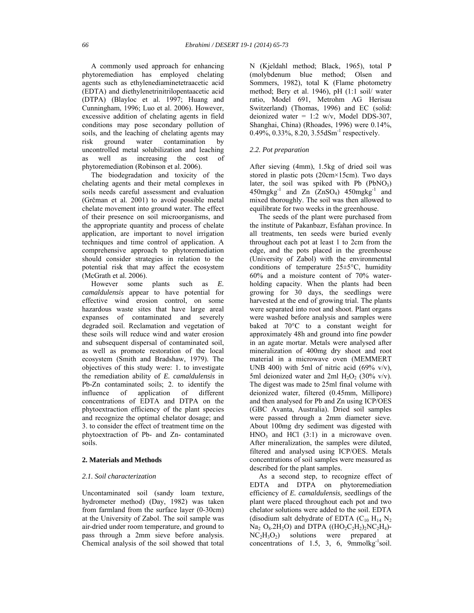A commonly used approach for enhancing phytoremediation has employed chelating agents such as ethylenediaminetetraacetic acid (EDTA) and diethylenetrinitrilopentaacetic acid (DTPA) (Blayloc et al. 1997; Huang and Cunningham, 1996; Luo et al. 2006). However, excessive addition of chelating agents in field conditions may pose secondary pollution of soils, and the leaching of chelating agents may risk ground water contamination by uncontrolled metal solubilization and leaching as well as increasing the cost of phytoremediation (Robinson et al. 2006).

 The biodegradation and toxicity of the chelating agents and their metal complexes in soils needs careful assessment and evaluation (Grčman et al. 2001) to avoid possible metal chelate movement into ground water. The effect of their presence on soil microorganisms, and the appropriate quantity and process of chelate application, are important to novel irrigation techniques and time control of application. A comprehensive approach to phytoremediation should consider strategies in relation to the potential risk that may affect the ecosystem (McGrath et al. 2006).

 However some plants such as *E. camaldulensis* appear to have potential for effective wind erosion control, on some hazardous waste sites that have large areal expanses of contaminated and severely degraded soil. Reclamation and vegetation of these soils will reduce wind and water erosion and subsequent dispersal of contaminated soil, as well as promote restoration of the local ecosystem (Smith and Bradshaw, 1979). The objectives of this study were: 1. to investigate the remediation ability of *E. camaldulensis* in Pb-Zn contaminated soils; 2. to identify the influence of application of different concentrations of EDTA and DTPA on the phytoextraction efficiency of the plant species and recognize the optimal chelator dosage; and 3. to consider the effect of treatment time on the phytoextraction of Pb- and Zn- contaminated soils.

#### **2. Materials and Methods**

#### *2.1. Soil characterization*

Uncontaminated soil (sandy loam texture, hydrometer method) (Day, 1982) was taken from farmland from the surface layer (0-30cm) at the University of Zabol. The soil sample was air-dried under room temperature, and ground to pass through a 2mm sieve before analysis. Chemical analysis of the soil showed that total N (Kjeldahl method; Black, 1965), total P (molybdenum blue method; Olsen and Sommers, 1982), total K (Flame photometry method; Bery et al. 1946), pH (1:1 soil/ water ratio, Model 691, Metrohm AG Herisau Switzerland) (Thomas, 1996) and EC (solid: deionized water =  $1:2$  w/v, Model DDS-307, Shanghai, China) (Rhoades, 1996) were 0.14%, 0.49%, 0.33%, 8.20, 3.55dSm<sup>-1</sup> respectively.

## *2.2. Pot preparation*

After sieving (4mm), 1.5kg of dried soil was stored in plastic pots (20cm×15cm). Two days later, the soil was spiked with Pb  $(PbNO<sub>3</sub>)$  $450$ mgkg<sup>-1</sup> and Zn  $(ZnSO<sub>4</sub>)$   $450$ mgkg<sup>-1</sup> and mixed thoroughly. The soil was then allowed to equilibrate for two weeks in the greenhouse.

 The seeds of the plant were purchased from the institute of Pakanbazr, Esfahan province. In all treatments, ten seeds were buried evenly throughout each pot at least 1 to 2cm from the edge, and the pots placed in the greenhouse (University of Zabol) with the environmental conditions of temperature 25±5°C, humidity 60% and a moisture content of 70% waterholding capacity. When the plants had been growing for 30 days, the seedlings were harvested at the end of growing trial. The plants were separated into root and shoot. Plant organs were washed before analysis and samples were baked at 70°C to a constant weight for approximately 48h and ground into fine powder in an agate mortar. Metals were analysed after mineralization of 400mg dry shoot and root material in a microwave oven (MEMMERT UNB 400) with 5ml of nitric acid  $(69\% \text{ v/v})$ , 5ml deionized water and 2ml H<sub>2</sub>O<sub>2</sub> (30% v/v). The digest was made to 25ml final volume with deionized water, filtered (0.45mm, Millipore) and then analysed for Pb and Zn using ICP/OES (GBC Avanta, Australia). Dried soil samples were passed through a 2mm diameter sieve. About 100mg dry sediment was digested with  $HNO<sub>3</sub>$  and HCl (3:1) in a microwave oven. After mineralization, the samples were diluted, filtered and analysed using ICP/OES. Metals concentrations of soil samples were measured as described for the plant samples.

 As a second step, to recognize effect of EDTA and DTPA on phytoremediation efficiency of *E. camaldulensis,* seedlings of the plant were placed throughout each pot and two chelator solutions were added to the soil. EDTA (disodium salt dehydrate of EDTA  $(C_{10} H_{14} N_2)$  $Na<sub>2</sub> O<sub>8</sub> 2H<sub>2</sub>O$ ) and DTPA ((HO<sub>2</sub>C<sub>2</sub>H<sub>2</sub>)<sub>2</sub>NC<sub>2</sub>H<sub>4</sub>)- $NC<sub>2</sub>H<sub>3</sub>O<sub>2</sub>$  solutions were prepared at concentrations of 1.5, 3, 6,  $9$ mmolkg<sup>-1</sup>soil.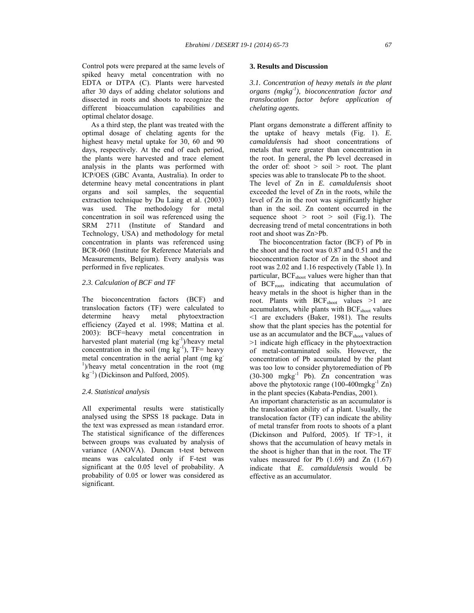Control pots were prepared at the same levels of spiked heavy metal concentration with no EDTA or DTPA (C). Plants were harvested after 30 days of adding chelator solutions and dissected in roots and shoots to recognize the different bioaccumulation capabilities and optimal chelator dosage.

 As a third step, the plant was treated with the optimal dosage of chelating agents for the highest heavy metal uptake for 30, 60 and 90 days, respectively. At the end of each period, the plants were harvested and trace element analysis in the plants was performed with ICP/OES (GBC Avanta, Australia). In order to determine heavy metal concentrations in plant organs and soil samples, the sequential extraction technique by Du Laing et al. (2003) was used. The methodology for metal concentration in soil was referenced using the SRM 2711 (Institute of Standard and Technology, USA) and methodology for metal concentration in plants was referenced using BCR-060 (Institute for Reference Materials and Measurements, Belgium). Every analysis was performed in five replicates.

#### *2.3. Calculation of BCF and TF*

The bioconcentration factors (BCF) and translocation factors (TF) were calculated to determine heavy metal phytoextraction efficiency (Zayed et al. 1998; Mattina et al. 2003): BCF=heavy metal concentration in harvested plant material (mg  $kg^{-1}$ )/heavy metal concentration in the soil (mg  $kg^{-1}$ ), TF= heavy metal concentration in the aerial plant (mg kg-<sup>1</sup>)/heavy metal concentration in the root (mg kg<sup>−</sup><sup>1</sup> ) (Dickinson and Pulford, 2005).

## *2.4. Statistical analysis*

All experimental results were statistically analysed using the SPSS 18 package. Data in the text was expressed as mean ±standard error. The statistical significance of the differences between groups was evaluated by analysis of variance (ANOVA). Duncan t-test between means was calculated only if F-test was significant at the 0.05 level of probability. A probability of 0.05 or lower was considered as significant.

#### **3. Results and Discussion**

*3.1. Concentration of heavy metals in the plant organs (mgkg-1), bioconcentration factor and translocation factor before application of chelating agents.* 

Plant organs demonstrate a different affinity to the uptake of heavy metals (Fig. 1). *E. camaldulensis* had shoot concentrations of metals that were greater than concentration in the root. In general, the Pb level decreased in the order of: shoot  $>$  soil  $>$  root. The plant species was able to translocate Pb to the shoot. The level of Zn in *E. camaldulensis* shoot exceeded the level of Zn in the roots, while the level of Zn in the root was significantly higher than in the soil. Zn content occurred in the sequence shoot  $>$  root  $>$  soil (Fig.1). The decreasing trend of metal concentrations in both root and shoot was Zn>Pb.

 The bioconcentration factor (BCF) of Pb in the shoot and the root was 0.87 and 0.51 and the bioconcentration factor of Zn in the shoot and root was 2.02 and 1.16 respectively (Table 1). In particular, BCF<sub>shoot</sub> values were higher than that of BCF<sub>root</sub>, indicating that accumulation of heavy metals in the shoot is higher than in the root. Plants with BCF<sub>shoot</sub> values >1 are accumulators, while plants with BCF<sub>shoot</sub> values <1 are excluders (Baker, 1981). The results show that the plant species has the potential for use as an accumulator and the BCF<sub>shoot</sub> values of >1 indicate high efficacy in the phytoextraction of metal-contaminated soils. However, the concentration of Pb accumulated by the plant was too low to consider phytoremediation of Pb (30-300 mgkg-1 Pb). Zn concentration was above the phytotoxic range  $(100-400 \text{mgkg}^{-1} \text{ Zn})$ in the plant species (Kabata-Pendias, 2001).

An important characteristic as an accumulator is the translocation ability of a plant. Usually, the translocation factor (TF) can indicate the ability of metal transfer from roots to shoots of a plant (Dickinson and Pulford, 2005). If TF>1, it shows that the accumulation of heavy metals in the shoot is higher than that in the root. The TF values measured for Pb  $(1.69)$  and Zn  $(1.67)$ indicate that *E. camaldulensis* would be effective as an accumulator.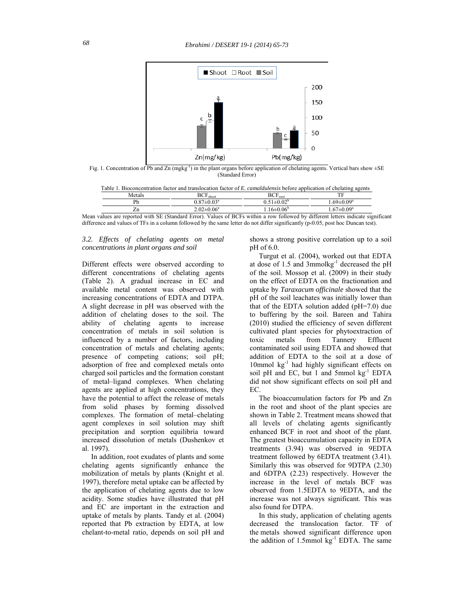

Fig. 1. Concentration of Pb and Zn  $(mgkg^{-1})$  in the plant organs before application of chelating agents. Vertical bars show  $\pm SE$ (Standard Error)

| Bioconcentration factor and translocation factor of E. <i>camaldulensis</i> before application of chelating agents<br>Table 1 |                            |                                |                  |  |  |
|-------------------------------------------------------------------------------------------------------------------------------|----------------------------|--------------------------------|------------------|--|--|
| Metals                                                                                                                        | BCF <sub>short</sub>       | $\mathrm{BCF}_{\mathrm{root}}$ |                  |  |  |
|                                                                                                                               | $0.87 \pm 0.03^{\text{a}}$ | $0.51 \pm 0.02^{\circ}$        | $69 \pm 0.09^a$  |  |  |
|                                                                                                                               | $2.02 \pm 0.06^a$          | $16\pm0.06^{\circ}$            | $.67 \pm 0.09^a$ |  |  |

Mean values are reported with SE (Standard Error). Values of BCFs within a row followed by different letters indicate significant difference and values of TFs in a column followed by the same letter do not differ significantly  $(p \cdot 0.05$ , post hoc Duncan test).

#### *3.2. Effects of chelating agents on metal concentrations in plant organs and soil*

Different effects were observed according to different concentrations of chelating agents (Table 2). A gradual increase in EC and available metal content was observed with increasing concentrations of EDTA and DTPA. A slight decrease in pH was observed with the addition of chelating doses to the soil. The ability of chelating agents to increase concentration of metals in soil solution is influenced by a number of factors, including concentration of metals and chelating agents; presence of competing cations; soil pH; adsorption of free and complexed metals onto charged soil particles and the formation constant of metal–ligand complexes. When chelating agents are applied at high concentrations, they have the potential to affect the release of metals from solid phases by forming dissolved complexes. The formation of metal–chelating agent complexes in soil solution may shift precipitation and sorption equilibria toward increased dissolution of metals (Dushenkov et al. 1997).

 In addition, root exudates of plants and some chelating agents significantly enhance the mobilization of metals by plants (Knight et al. 1997), therefore metal uptake can be affected by the application of chelating agents due to low acidity. Some studies have illustrated that pH and EC are important in the extraction and uptake of metals by plants. Tandy et al. (2004) reported that Pb extraction by EDTA, at low chelant-to-metal ratio, depends on soil pH and

shows a strong positive correlation up to a soil pH of 6.0.

 Turgut et al. (2004), worked out that EDTA at dose of 1.5 and 3mmolkg-1 decreased the pH of the soil. Mossop et al. (2009) in their study on the effect of EDTA on the fractionation and uptake by *Taraxacum officinale* showed that the pH of the soil leachates was initially lower than that of the EDTA solution added (pH=7.0) due to buffering by the soil. Bareen and Tahira (2010) studied the efficiency of seven different cultivated plant species for phytoextraction of toxic metals from Tannery Effluent contaminated soil using EDTA and showed that addition of EDTA to the soil at a dose of 10mmol kg<sup>-1</sup> had highly significant effects on soil pH and EC, but 1 and 5mmol kg<sup>-1</sup> EDTA did not show significant effects on soil pH and EC.

 The bioaccumulation factors for Pb and Zn in the root and shoot of the plant species are shown in Table 2. Treatment means showed that all levels of chelating agents significantly enhanced BCF in root and shoot of the plant. The greatest bioaccumulation capacity in EDTA treatments (3.94) was observed in 9EDTA treatment followed by 6EDTA treatment (3.41). Similarly this was observed for 9DTPA (2.30) and 6DTPA (2.23) respectively. However the increase in the level of metals BCF was observed from 1.5EDTA to 9EDTA, and the increase was not always significant. This was also found for DTPA.

 In this study, application of chelating agents decreased the translocation factor. TF of the metals showed significant difference upon the addition of  $1.5$ mmol kg<sup>-1</sup> EDTA. The same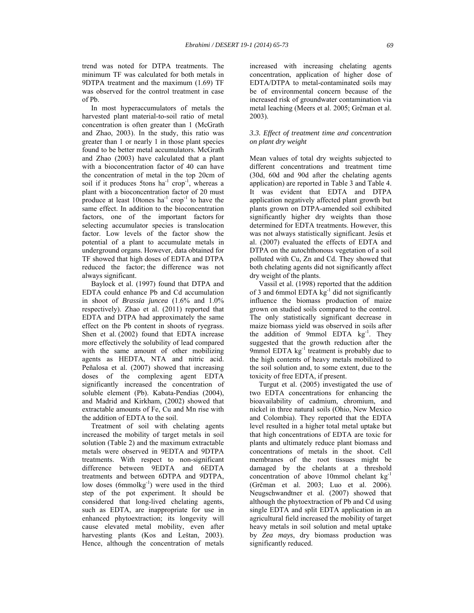In most hyperaccumulators of metals the harvested plant material-to-soil ratio of metal concentration is often greater than 1 (McGrath and Zhao, 2003). In the study, this ratio was greater than 1 or nearly 1 in those plant species found to be better metal accumulators. McGrath and Zhao (2003) have calculated that a plant with a bioconcentration factor of 40 can have the concentration of metal in the top 20cm of soil if it produces 5tons ha<sup>-1</sup> crop<sup>-1</sup>, whereas a plant with a bioconcentration factor of 20 must produce at least 10tones  $ha^{-1}$  crop<sup>-1</sup> to have the same effect. In addition to the bioconcentration factors, one of the important factors for selecting accumulator species is translocation factor. Low levels of the factor show the potential of a plant to accumulate metals in underground organs. However, data obtained for TF showed that high doses of EDTA and DTPA reduced the factor; the difference was not always significant.

 Baylock et al. (1997) found that DTPA and EDTA could enhance Pb and Cd accumulation in shoot of *Brassia juncea* (1.6% and 1.0% respectively). Zhao et al. (2011) reported that EDTA and DTPA had approximately the same effect on the Pb content in shoots of ryegrass. Shen et al. (2002) found that EDTA increase more effectively the solubility of lead compared with the same amount of other mobilizing agents as HEDTA, NTA and nitric acid. Peñalosa et al. (2007) showed that increasing doses of the complexing agent EDTA significantly increased the concentration of soluble element (Pb). Kabata-Pendias (2004), and Madrid and Kirkham, (2002) showed that extractable amounts of Fe, Cu and Mn rise with the addition of EDTA to the soil.

 Treatment of soil with chelating agents increased the mobility of target metals in soil solution (Table 2) and the maximum extractable metals were observed in 9EDTA and 9DTPA treatments. With respect to non-significant difference between 9EDTA and 6EDTA treatments and between 6DTPA and 9DTPA, low doses (6mmolkg<sup>-1</sup>) were used in the third step of the pot experiment. It should be considered that long-lived chelating agents, such as EDTA, are inappropriate for use in enhanced phytoextraction; its longevity will cause elevated metal mobility, even after harvesting plants (Kos and Leštan, 2003). Hence, although the concentration of metals

increased with increasing chelating agents concentration, application of higher dose of EDTA/DTPA to metal-contaminated soils may be of environmental concern because of the increased risk of groundwater contamination via metal leaching (Meers et al. 2005; Grčman et al. 2003).

#### *3.3. Effect of treatment time and concentration on plant dry weight*

Mean values of total dry weights subjected to different concentrations and treatment time (30d, 60d and 90d after the chelating agents application) are reported in Table 3 and Table 4. It was evident that EDTA and DTPA application negatively affected plant growth but plants grown on DTPA-amended soil exhibited significantly higher dry weights than those determined for EDTA treatments. However, this was not always statistically significant. Jesús et al. (2007) evaluated the effects of EDTA and DTPA on the autochthonous vegetation of a soil polluted with Cu, Zn and Cd. They showed that both chelating agents did not significantly affect dry weight of the plants.

 Vassil et al. (1998) reported that the addition of 3 and 6mmol EDTA  $kg^{-1}$  did not significantly influence the biomass production of maize grown on studied soils compared to the control. The only statistically significant decrease in maize biomass yield was observed in soils after the addition of 9mmol EDTA  $kg^{-1}$ . They suggested that the growth reduction after the 9mmol EDTA kg<sup>-1</sup> treatment is probably due to the high contents of heavy metals mobilized to the soil solution and, to some extent, due to the toxicity of free EDTA, if present.

 Turgut et al. (2005) investigated the use of two EDTA concentrations for enhancing the bioavailability of cadmium, chromium, and nickel in three natural soils (Ohio, New Mexico and Colombia). They reported that the EDTA level resulted in a higher total metal uptake but that high concentrations of EDTA are toxic for plants and ultimately reduce plant biomass and concentrations of metals in the shoot. Cell membranes of the root tissues might be damaged by the chelants at a threshold concentration of above 10mmol chelant  $kg^{-1}$ (Grčman et al. 2003; Luo et al. 2006). Neugschwandtner et al. (2007) showed that although the phytoextraction of Pb and Cd using single EDTA and split EDTA application in an agricultural field increased the mobility of target heavy metals in soil solution and metal uptake by *Zea mays*, dry biomass production was significantly reduced.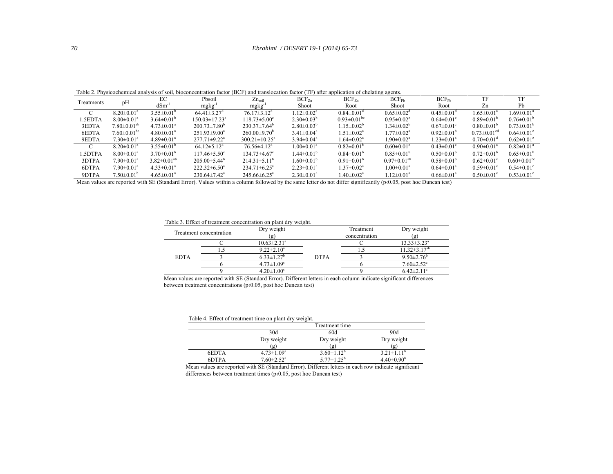#### *Ebrahimi / DESERT 19-1 (2014) 65-73*

Table 2. Physicochemical analysis of soil, bioconcentration factor (BCF) and translocation factor (TF) after application of chelating agents.

|              |                               | EC                           | Pbsoil                         | $Zn_{\rm soil}$                | $BCF_{Zn}$                   | $BCF_{7n}$                    | $BCF_{Ph}$                   | $BCF_{Ph}$                   | TF                            | TF                            |
|--------------|-------------------------------|------------------------------|--------------------------------|--------------------------------|------------------------------|-------------------------------|------------------------------|------------------------------|-------------------------------|-------------------------------|
| Treatments   | pH                            | $dSm^{-1}$                   | $mgkg^{-1}$                    | $mgkg^{-1}$                    | Shoot                        | Root                          | Shoot                        | Root                         | Zn                            | Pb                            |
|              | $8.20 \pm 0.01^a$             | $3.55 \pm 0.01^b$            | $64.41 \pm 3.27$ <sup>d</sup>  | $76.17\pm3.12^{\rm d}$         | $1.12 \pm 0.02$ <sup>c</sup> | $0.84 \pm 0.01$ <sup>d</sup>  | $0.65 \pm 0.02$ <sup>d</sup> | $0.45 \pm 0.01$ <sup>c</sup> | $1.65 \pm 0.01^a$             | $1.69 \pm 0.01^a$             |
| 1.5EDTA      | $8.00 \pm 0.01^a$             | $3.64 \pm 0.01^b$            | $150.03 \pm 17.23$ °           | $118.73 \pm 5.00^{\circ}$      | $2.30\pm0.03^{b}$            | $0.93 \pm 0.01$ <sup>bc</sup> | $0.95 \pm 0.02$ <sup>c</sup> | $0.64 \pm 0.01$ <sup>c</sup> | $0.89 \pm 0.01^{\circ}$       | $0.76 \pm 0.01^b$             |
| 3EDTA        | $7.80\pm0.01^{ab}$            | $4.73 \pm 0.01^a$            | $200.73 \pm 7.80^{\circ}$      | $230.37\pm7.64^{\circ}$        | $2.80\pm0.03^{b}$            | $1.15 \pm 0.02^b$             | $34\pm0.02^b$                | $0.67 \pm 0.01$ <sup>c</sup> | $0.80 \pm 0.01^{\circ}$       | $0.73 \pm 0.01^{\circ}$       |
| 6EDTA        | $7.60 \pm 0.01$ <sup>bc</sup> | $4.80 \pm 0.01^a$            | $251.93\pm9.00^a$              | $260.00\pm9.70^{\circ}$        | $3.41 \pm 0.04^a$            | $1.51 \pm 0.02^a$             | $1.77 \pm 0.02^a$            | $0.92\pm0.01^{\rm b}$        | $0.73 \pm 0.01$ <sup>cd</sup> | $0.64 \pm 0.01$ <sup>c</sup>  |
| 9EDTA        | $7.30\pm0.01^{\circ}$         | $4.89 \pm 0.01$ <sup>a</sup> | $277.71 \pm 9.22$ <sup>a</sup> | $300.21 \pm 10.25^{\circ}$     | $3.94\pm0.04^a$              | $1.64 \pm 0.02^a$             | $1.90 \pm 0.02$ <sup>a</sup> | $1.23 \pm 0.01^a$            | $0.70 \pm 0.01$ <sup>d</sup>  | $0.62 \pm 0.01$ <sup>c</sup>  |
|              | $8.20 \pm 0.01^a$             | $3.55 \pm 0.01^b$            | 64.12 $\pm$ 5.12 <sup>d</sup>  | $76.56\pm4.12$ <sup>d</sup>    | $1.00 \pm 0.01$ <sup>c</sup> | $0.82 \pm 0.01^b$             | $0.60 \pm 0.01$ <sup>c</sup> | $0.43 \pm 0.01$ °            | $0.90 \pm 0.01$ <sup>a</sup>  | $0.82 \pm 0.01$ <sup>a</sup>  |
| <b>SDTPA</b> | $8.00 \pm 0.01^a$             | $3.70\pm0.01^{\rm b}$        | $117.46 \pm 5.50^{\circ}$      | $134.73 \pm 4.67$ °            | $1.44 \pm 0.01^b$            | $0.84 \pm 0.01^b$             | $0.85 \pm 0.01^b$            | $0.50\pm0.01^{\rm b}$        | $0.72 \pm 0.01^b$             | $0.65 \pm 0.01^b$             |
| 3DTPA        | $7.90 \pm 0.01^a$             | $3.82 \pm 0.01^{ab}$         | $205.00\pm5.44^{\circ}$        | $214.31\pm5.11^{\circ}$        | $1.60 \pm 0.01^b$            | $0.91 \pm 0.01^b$             | $0.97 \pm 0.01^{ab}$         | $0.58 \pm 0.01^{\circ}$      | $0.62 \pm 0.01$ <sup>c</sup>  | $0.60 \pm 0.01$ <sup>bc</sup> |
| 6DTPA        | $7.90 \pm 0.01$ <sup>a</sup>  | $4.33 \pm 0.01^a$            | $222.32 \pm 6.50^{\circ}$      | $234.71 \pm 6.25$ <sup>a</sup> | $2.23 \pm 0.01^a$            | $1.37 \pm 0.02^a$             | $1.00 \pm 0.01$ <sup>a</sup> | $0.64 \pm 0.01^a$            | $0.59 \pm 0.01$ <sup>c</sup>  | $0.54 \pm 0.01$ °             |
| 9DTPA        | $7.50\pm0.01^{b}$             | $4.65 \pm 0.01^a$            | $230.64 \pm 7.42^a$            | $245.66 \pm 6.25^{\circ}$      | $2.30 \pm 0.01^a$            | $1.40 \pm 0.02$ <sup>a</sup>  | $12\pm0.01^a$                | $0.66 \pm 0.01^a$            | $0.50 \pm 0.01$ <sup>c</sup>  | $0.53 \pm 0.01$ °             |

Mean values are reported with SE (Standard Error). Values within a column followed by the same letter do not differ significantly (p<0.05, post hoc Duncan test)

Table 3. Effect of treatment concentration on plant dry weight.

| Treatment concentration |  | Dry weight                    |             | Treatment     | Dry weight                   |
|-------------------------|--|-------------------------------|-------------|---------------|------------------------------|
|                         |  | (g)                           |             | concentration | (g)                          |
|                         |  | $10.63 \pm 2.31$ <sup>a</sup> |             |               | $13.33 \pm 3.23^a$           |
|                         |  | $9.22 \pm 2.10^a$             |             |               | $11.32 \pm 3.17^{ab}$        |
| <b>EDTA</b>             |  | $6.33 \pm 1.27^b$             | <b>DTPA</b> |               | $9.50 \pm 2.76^b$            |
|                         |  | $4.73 \pm 1.09$ <sup>c</sup>  |             |               | $7.60 \pm 2.52$ <sup>c</sup> |
|                         |  | $4.20 \pm 1.00$ <sup>c</sup>  |             |               | $6.42 \pm 2.11$ °            |

 Mean values are reported with SE (Standard Error). Different letters in each column indicate significant differences between treatment concentrations (p‹0.05, post hoc Duncan test)

|  | Table 4. Effect of treatment time on plant dry weight. |  |  |
|--|--------------------------------------------------------|--|--|
|  |                                                        |  |  |

|       | Treatment time               |                             |                       |  |
|-------|------------------------------|-----------------------------|-----------------------|--|
|       | 30d                          | 60d                         | 90d                   |  |
|       | Dry weight                   | Dry weight                  | Dry weight            |  |
|       | (Զ)                          | $\left[ \mathbf{g} \right]$ | (g)                   |  |
| 6EDTA | $4.73 \pm 1.09$ <sup>a</sup> | $3.60 \pm 1.12^b$           | $3.21 \pm 1.11^b$     |  |
| 6DTPA | $7.60 \pm 2.52$ <sup>a</sup> | $5.77 \pm 1.25^b$           | $4.40\pm0.90^{\rm b}$ |  |

 Mean values are reported with SE (Standard Error). Different letters in each row indicate significant differences between treatment times (p‹0.05, post hoc Duncan test)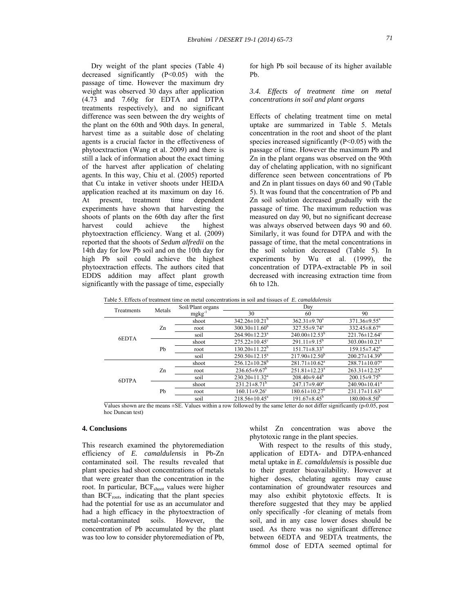Dry weight of the plant species (Table 4) decreased significantly (P<0.05) with the passage of time. However the maximum dry weight was observed 30 days after application (4.73 and 7.60g for EDTA and DTPA treatments respectively), and no significant difference was seen between the dry weights of the plant on the 60th and 90th days. In general, harvest time as a suitable dose of chelating agents is a crucial factor in the effectiveness of phytoextraction (Wang et al. 2009) and there is still a lack of information about the exact timing of the harvest after application of chelating agents. In this way, Chiu et al. (2005) reported that Cu intake in vetiver shoots under HEIDA application reached at its maximum on day 16. At present, treatment time dependent experiments have shown that harvesting the shoots of plants on the 60th day after the first harvest could achieve the highest phytoextraction efficiency. Wang et al. (2009) reported that the shoots of *Sedum alfredii* on the 14th day for low Pb soil and on the 10th day for high Pb soil could achieve the highest phytoextraction effects. The authors cited that EDDS addition may affect plant growth significantly with the passage of time, especially for high Pb soil because of its higher available Pb.

#### *3.4. Effects of treatment time on metal concentrations in soil and plant organs*

Effects of chelating treatment time on metal uptake are summarized in Table 5. Metals concentration in the root and shoot of the plant species increased significantly  $(P<0.05)$  with the passage of time. However the maximum Pb and Zn in the plant organs was observed on the 90th day of chelating application, with no significant difference seen between concentrations of Pb and Zn in plant tissues on days 60 and 90 (Table 5). It was found that the concentration of Pb and Zn soil solution decreased gradually with the passage of time. The maximum reduction was measured on day 90, but no significant decrease was always observed between days 90 and 60. Similarly, it was found for DTPA and with the passage of time, that the metal concentrations in the soil solution decreased (Table 5). In experiments by Wu et al. (1999), the concentration of DTPA-extractable Pb in soil decreased with increasing extraction time from 6h to 12h.

Table 5. Effects of treatment time on metal concentrations in soil and tissues of *E. camaldulensis*

|            | Metals | Soil/Plant organs |                                 | Day                             |                                 |
|------------|--------|-------------------|---------------------------------|---------------------------------|---------------------------------|
| Treatments |        | $mgkg^{-1}$       | 30                              | 60                              | 90                              |
|            |        | shoot             | $342.26 \pm 10.21^b$            | $362.31 \pm 9.70^a$             | $371.36 \pm 9.55$ <sup>a</sup>  |
|            | Zn     | root              | $300.30 \pm 11.60^b$            | $327.55 \pm 9.74^a$             | $332.45 \pm 8.67$ <sup>a</sup>  |
| 6EDTA      |        | soil              | $264.90 \pm 12.23$ <sup>a</sup> | $240.00 \pm 12.53^{\circ}$      | $221.76 \pm 12.64$ <sup>c</sup> |
|            |        | shoot             | $275.22 \pm 10.45$ °            | $291.11 \pm 9.15^b$             | $303.00 \pm 10.21$ <sup>a</sup> |
|            | Pb     | root              | $130.20 \pm 11.22^b$            | $151.71 \pm 8.33$ <sup>a</sup>  | $159.15 \pm 7.42^{\text{a}}$    |
|            |        | soil              | $250.50 \pm 12.15^a$            | $217.90 \pm 12.50^{\circ}$      | $200.27 \pm 14.39^b$            |
| 6DTPA      |        | shoot             | $256.12 \pm 10.28$ <sup>b</sup> | $281.71 \pm 10.62$ <sup>a</sup> | $288.71 \pm 10.07$ <sup>a</sup> |
|            | Zn     | root              | $236.65\pm9.67^b$               | $251.81 \pm 12.23$ <sup>a</sup> | $263.31 \pm 12.25^a$            |
|            |        | soil              | $230.20 \pm 11.32^a$            | $208.40\pm9.44^{\circ}$         | $200.15 \pm 9.75^{\circ}$       |
|            |        | shoot             | $231.21 \pm 8.71^b$             | $247.17 \pm 9.40^a$             | $240.90 \pm 10.41^a$            |
|            | Pb     | root              | $160.11 \pm 9.26^{\circ}$       | $180.61 \pm 10.27^{\circ}$      | $231.17 \pm 11.63^a$            |
|            |        | soil              | $218.56 \pm 10.45^a$            | $191.67 \pm 8.45^{\circ}$       | $180.00\pm8.50^{\circ}$         |

Values shown are the means  $\pm$ SE. Values within a row followed by the same letter do not differ significantly ( $p \cdot 0.05$ , post hoc Duncan test)

### **4. Conclusions**

This research examined the phytoremediation efficiency of *E. camaldulensis* in Pb-Zn contaminated soil. The results revealed that plant species had shoot concentrations of metals that were greater than the concentration in the root. In particular, BCF<sub>shoot</sub> values were higher than  $BCF<sub>root</sub>$ , indicating that the plant species had the potential for use as an accumulator and had a high efficacy in the phytoextraction of metal-contaminated soils. However, the concentration of Pb accumulated by the plant was too low to consider phytoremediation of Pb, whilst Zn concentration was above the phytotoxic range in the plant species.

 With respect to the results of this study, application of EDTA- and DTPA-enhanced metal uptake in *E. camaldulensis* is possible due to their greater bioavailability. However at higher doses, chelating agents may cause contamination of groundwater resources and may also exhibit phytotoxic effects. It is therefore suggested that they may be applied only specifically -for cleaning of metals from soil, and in any case lower doses should be used. As there was no significant difference between 6EDTA and 9EDTA treatments, the 6mmol dose of EDTA seemed optimal for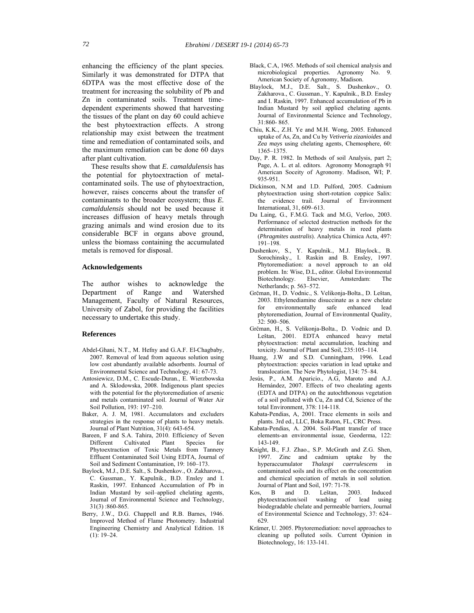enhancing the efficiency of the plant species*.* Similarly it was demonstrated for DTPA that 6DTPA was the most effective dose of the treatment for increasing the solubility of Pb and Zn in contaminated soils. Treatment timedependent experiments showed that harvesting the tissues of the plant on day 60 could achieve the best phytoextraction effects. A strong relationship may exist between the treatment time and remediation of contaminated soils, and the maximum remediation can be done 60 days after plant cultivation.

 These results show that *E. camaldulensis* has the potential for phytoextraction of metalcontaminated soils. The use of phytoextraction, however, raises concerns about the transfer of contaminants to the broader ecosystem; thus *E. camaldulensis* should not be used because it increases diffusion of heavy metals through grazing animals and wind erosion due to its considerable BCF in organs above ground, unless the biomass containing the accumulated metals is removed for disposal.

#### **Acknowledgements**

The author wishes to acknowledge the Department of Range and Watershed Management, Faculty of Natural Resources, University of Zabol, for providing the facilities necessary to undertake this study.

#### **References**

- Abdel-Ghani, N.T., M. Hefny and G.A.F. El-Chagbaby, 2007. Removal of lead from aqueous solution using low cost abundantly available adsorbents. Journal of Environmental Science and Technology, 41: 67-73.
- Antosiewicz, D.M., C. Escude-Duran., E. Wierzbowska and A. Sklodowska, 2008. Indigenous plant species with the potential for the phytoremediation of arsenic and metals contaminated soil. Journal of Water Air Soil Pollution, 193: 197–210.
- Baker, A. J. M, 1981. Accumulators and excluders strategies in the response of plants to heavy metals. Journal of Plant Nutrition, 31(4): 643-654.
- Bareen, F and S.A. Tahira, 2010. Efficiency of Seven Different Cultivated Plant Species for Phytoextraction of Toxic Metals from Tannery Effluent Contaminated Soil Using EDTA, Journal of Soil and Sediment Contamination, 19: 160–173.
- Baylock, M.J., D.E. Salt., S. Dushenkov., O. Zakharova., C. Gussman., Y. Kapulnik., B.D. Ensley and I. Raskin, 1997. Enhanced Accumulation of Pb in Indian Mustard by soil–applied chelating agents, Journal of Environmental Science and Technology, 31(3) :860-865.
- Berry, J.W., D.G. Chappell and R.B. Barnes, 1946. Improved Method of Flame Photometry. Industrial Engineering Chemistry and Analytical Edition. 18 (1): 19–24.
- Black, C.A, 1965. Methods of soil chemical analysis and microbiological properties. Agronomy No. 9. American Society of Agronomy, Madison.
- Blaylock, M.J., D.E. Salt., S. Dushenkov., O. Zakharova., C. Gussman., Y. Kapulnik., B.D. Ensley and I. Raskin, 1997. Enhanced accumulation of Pb in Indian Mustard by soil applied chelating agents. Journal of Environmental Science and Technology, 31:860- 865.
- Chiu, K.K., Z.H. Ye and M.H. Wong, 2005. Enhanced uptake of As, Zn, and Cu by *Vetiveria zizanioides* and *Zea mays* using chelating agents, Chemosphere, 60: 1365–1375.
- Day, P. R. 1982. In Methods of soil Analysis, part 2; Page, A. L. et al. editors. Agronomy Monograph 91 American Soceity of Agronomy. Madison, WI; P. 935-951.
- Dickinson, N.M and I.D. Pulford, 2005. Cadmium phytoextraction using short-rotation coppice Salix: the evidence trail. Journal of Environment International, 31, 609–613.
- Du Laing, G., F.M.G. Tack and M.G, Verloo, 2003. Performance of selected destruction methods for the determination of heavy metals in reed plants (*Phragmites australis*). Analytica Chimica Acta, 497: 191–198.
- Dushenkov, S., Y. Kapulnik., M.J. Blaylock., B. Sorochinsky., I. Raskin and B. Ensley, 1997. Phytoremediation: a novel approach to an old problem. In: Wise, D.L, editor. Global Environmental Biotechnology. Elsevier, Amsterdam: The Netherlands; p. 563–572.
- Grčman, H., D. Vodnic., S. Velikonja-Bolta., D. Leštan, 2003. Ethylenediamine disuccinate as a new chelate for environmentally safe enhanced lead phytoremediation, Journal of Environmental Quality, 32: 500–506.
- Grčman, H., S. Velikonja-Bolta., D. Vodnic and D. Leštan, 2001. EDTA enhanced heavy metal phytoextraction: metal accumulation, leaching and toxicity. Journal of Plant and Soil, 235:105–114.
- Huang, J.W and S.D. Cunningham, 1996. Lead phytoextraction: species variation in lead uptake and translocation. The New Phytologist, 134: 75–84.
- Jesús, P., A.M. Aparicio., A.G, Maroto and A.J. Hernández, 2007. Effects of two chealating agents (EDTA and DTPA) on the autochthonous vegetation of a soil polluted with Cu, Zn and Cd, Science of the total Environment, 378: 114-118.
- Kabata-Pendias, A, 2001. Trace elements in soils and plants. 3rd ed., LLC, Boka Raton, FL, CRC Press.
- Kabata-Pendias, A. 2004. Soil-Plant transfer of trace elements-an environmental issue, Geoderma, 122: 143-149.
- Knight, B., F.J. Zhao., S.P. McGrath and Z.G. Shen, 1997. Zinc and cadmium uptake by the hyperaccumulator *Thalaspi caerrulescens* in contaminated soils and its effect on the concentration and chemical speciation of metals in soil solution. Journal of Plant and Soil, 197: 71-78.
- Kos, B and D. Leštan, 2003. Induced phytoextraction/soil washing of lead using biodegradable chelate and permeable barriers, Journal of Environmental Science and Technology, 37: 624– 629.
- Krämer, U. 2005. Phytoremediation: novel approaches to cleaning up polluted soils. Current Opinion in Biotechnology, 16: 133-141.